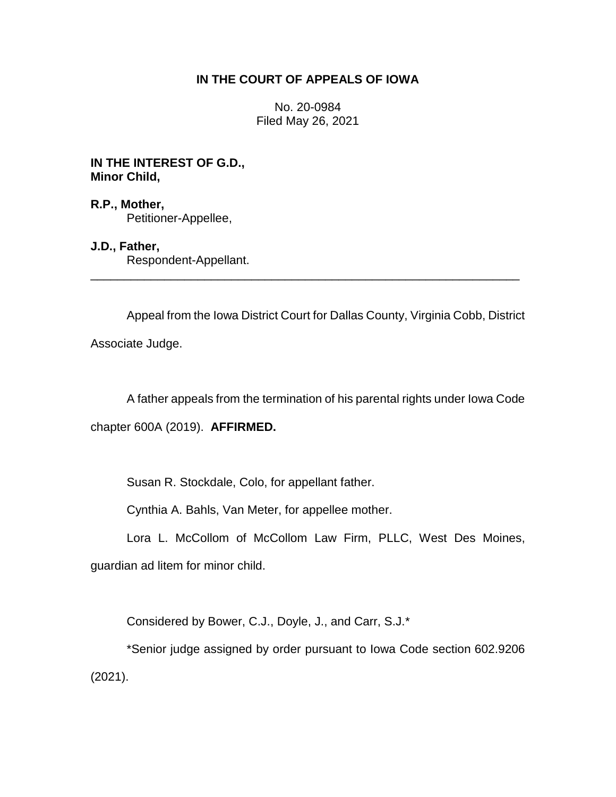# **IN THE COURT OF APPEALS OF IOWA**

No. 20-0984 Filed May 26, 2021

**IN THE INTEREST OF G.D., Minor Child,**

**R.P., Mother,** Petitioner-Appellee,

**J.D., Father,** Respondent-Appellant.

Appeal from the Iowa District Court for Dallas County, Virginia Cobb, District Associate Judge.

\_\_\_\_\_\_\_\_\_\_\_\_\_\_\_\_\_\_\_\_\_\_\_\_\_\_\_\_\_\_\_\_\_\_\_\_\_\_\_\_\_\_\_\_\_\_\_\_\_\_\_\_\_\_\_\_\_\_\_\_\_\_\_\_

A father appeals from the termination of his parental rights under Iowa Code

chapter 600A (2019). **AFFIRMED.**

Susan R. Stockdale, Colo, for appellant father.

Cynthia A. Bahls, Van Meter, for appellee mother.

Lora L. McCollom of McCollom Law Firm, PLLC, West Des Moines,

guardian ad litem for minor child.

Considered by Bower, C.J., Doyle, J., and Carr, S.J.\*

\*Senior judge assigned by order pursuant to Iowa Code section 602.9206 (2021).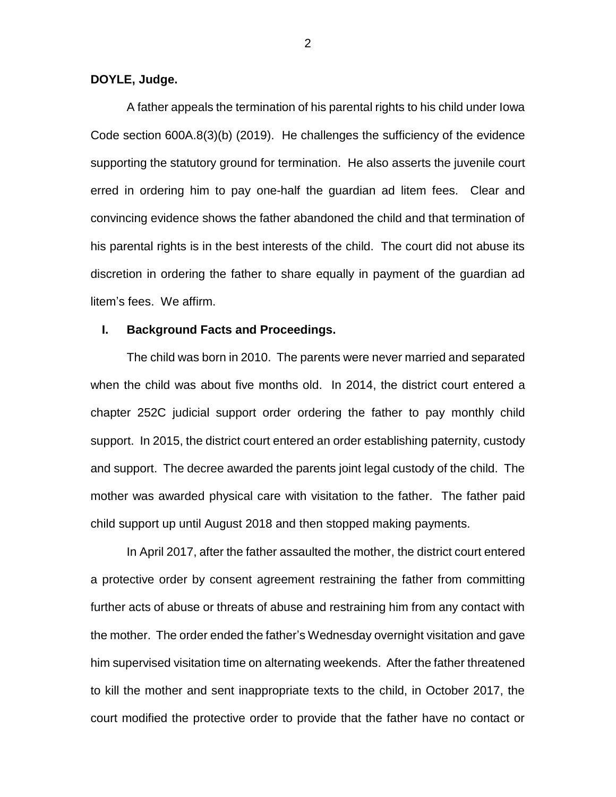#### **DOYLE, Judge.**

A father appeals the termination of his parental rights to his child under Iowa Code section 600A.8(3)(b) (2019). He challenges the sufficiency of the evidence supporting the statutory ground for termination. He also asserts the juvenile court erred in ordering him to pay one-half the guardian ad litem fees. Clear and convincing evidence shows the father abandoned the child and that termination of his parental rights is in the best interests of the child. The court did not abuse its discretion in ordering the father to share equally in payment of the guardian ad litem's fees. We affirm.

### **I. Background Facts and Proceedings.**

The child was born in 2010. The parents were never married and separated when the child was about five months old. In 2014, the district court entered a chapter 252C judicial support order ordering the father to pay monthly child support. In 2015, the district court entered an order establishing paternity, custody and support. The decree awarded the parents joint legal custody of the child. The mother was awarded physical care with visitation to the father. The father paid child support up until August 2018 and then stopped making payments.

In April 2017, after the father assaulted the mother, the district court entered a protective order by consent agreement restraining the father from committing further acts of abuse or threats of abuse and restraining him from any contact with the mother. The order ended the father's Wednesday overnight visitation and gave him supervised visitation time on alternating weekends. After the father threatened to kill the mother and sent inappropriate texts to the child, in October 2017, the court modified the protective order to provide that the father have no contact or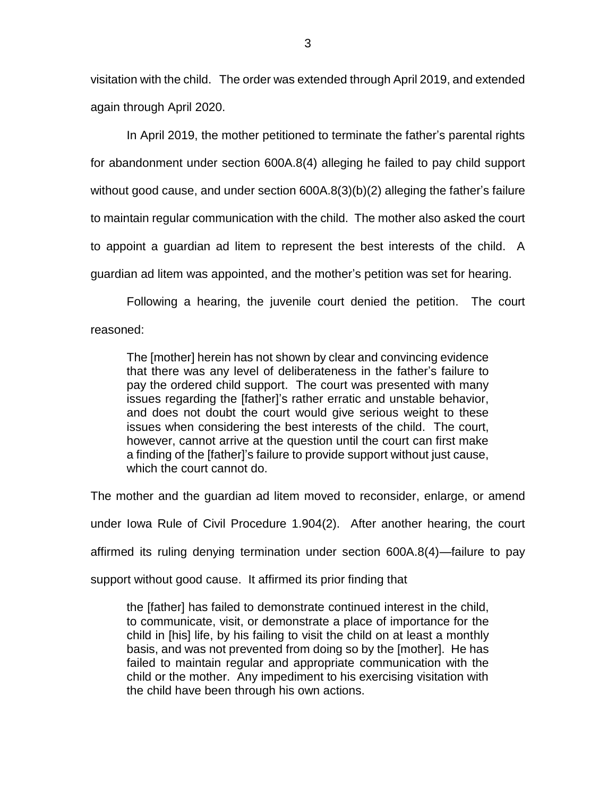visitation with the child. The order was extended through April 2019, and extended again through April 2020.

In April 2019, the mother petitioned to terminate the father's parental rights for abandonment under section 600A.8(4) alleging he failed to pay child support without good cause, and under section 600A.8(3)(b)(2) alleging the father's failure to maintain regular communication with the child. The mother also asked the court to appoint a guardian ad litem to represent the best interests of the child. A guardian ad litem was appointed, and the mother's petition was set for hearing.

Following a hearing, the juvenile court denied the petition. The court reasoned:

The [mother] herein has not shown by clear and convincing evidence that there was any level of deliberateness in the father's failure to pay the ordered child support. The court was presented with many issues regarding the [father]'s rather erratic and unstable behavior, and does not doubt the court would give serious weight to these issues when considering the best interests of the child. The court, however, cannot arrive at the question until the court can first make a finding of the [father]'s failure to provide support without just cause, which the court cannot do.

The mother and the guardian ad litem moved to reconsider, enlarge, or amend under Iowa Rule of Civil Procedure 1.904(2). After another hearing, the court affirmed its ruling denying termination under section 600A.8(4)—failure to pay support without good cause. It affirmed its prior finding that

the [father] has failed to demonstrate continued interest in the child, to communicate, visit, or demonstrate a place of importance for the child in [his] life, by his failing to visit the child on at least a monthly basis, and was not prevented from doing so by the [mother]. He has failed to maintain regular and appropriate communication with the child or the mother. Any impediment to his exercising visitation with the child have been through his own actions.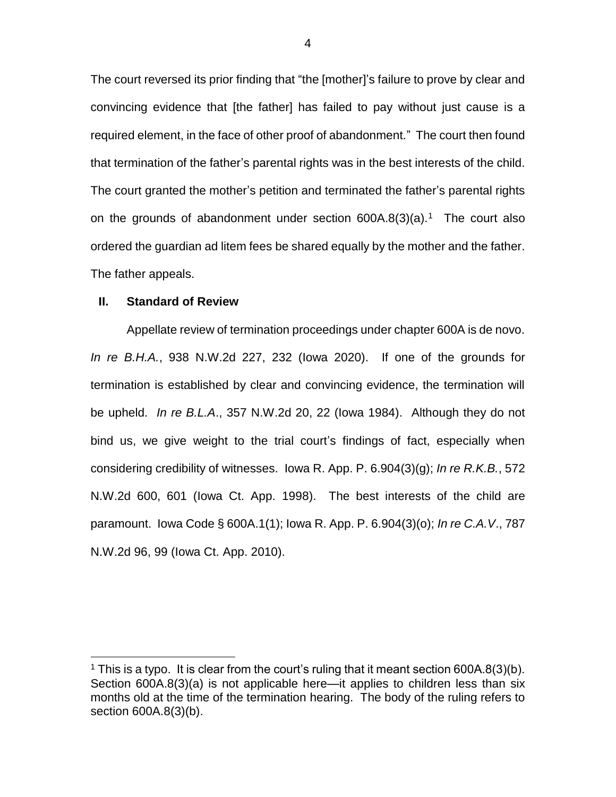The court reversed its prior finding that "the [mother]'s failure to prove by clear and convincing evidence that [the father] has failed to pay without just cause is a required element, in the face of other proof of abandonment." The court then found that termination of the father's parental rights was in the best interests of the child. The court granted the mother's petition and terminated the father's parental rights on the grounds of abandonment under section  $600A.8(3)(a).$ <sup>1</sup> The court also ordered the guardian ad litem fees be shared equally by the mother and the father. The father appeals.

### **II. Standard of Review**

 $\overline{a}$ 

Appellate review of termination proceedings under chapter 600A is de novo. *In re B.H.A.*, 938 N.W.2d 227, 232 (Iowa 2020). If one of the grounds for termination is established by clear and convincing evidence, the termination will be upheld. *In re B.L.A*., 357 N.W.2d 20, 22 (Iowa 1984). Although they do not bind us, we give weight to the trial court's findings of fact, especially when considering credibility of witnesses. Iowa R. App. P. 6.904(3)(g); *In re R.K.B.*, 572 N.W.2d 600, 601 (Iowa Ct. App. 1998). The best interests of the child are paramount. Iowa Code § 600A.1(1); Iowa R. App. P. 6.904(3)(o); *In re C.A.V*., 787 N.W.2d 96, 99 (Iowa Ct. App. 2010).

4

<sup>&</sup>lt;sup>1</sup> This is a typo. It is clear from the court's ruling that it meant section 600A.8(3)(b). Section 600A.8(3)(a) is not applicable here—it applies to children less than six months old at the time of the termination hearing. The body of the ruling refers to section 600A.8(3)(b).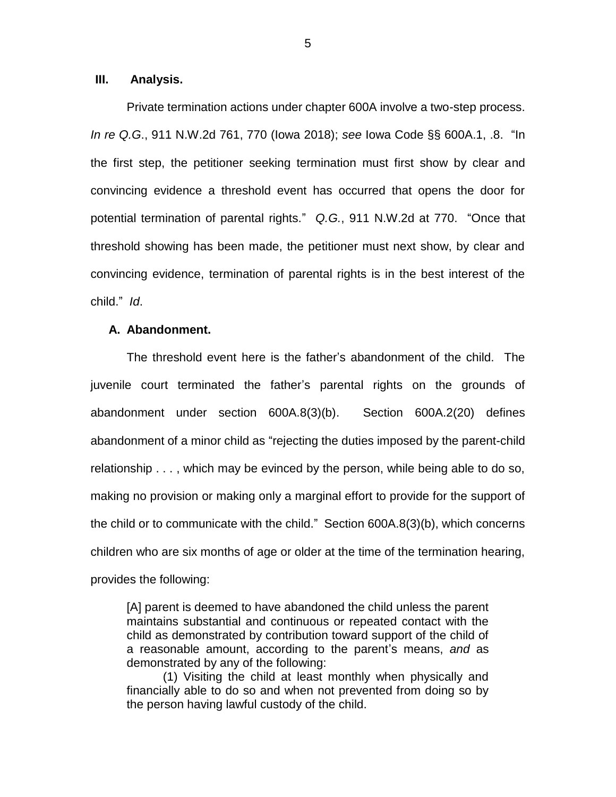### **III. Analysis.**

Private termination actions under chapter 600A involve a two-step process. *In re Q.G*., 911 N.W.2d 761, 770 (Iowa 2018); *see* Iowa Code §§ 600A.1, .8. "In the first step, the petitioner seeking termination must first show by clear and convincing evidence a threshold event has occurred that opens the door for potential termination of parental rights." *Q.G.*, 911 N.W.2d at 770. "Once that threshold showing has been made, the petitioner must next show, by clear and convincing evidence, termination of parental rights is in the best interest of the child." *Id*.

#### **A. Abandonment.**

The threshold event here is the father's abandonment of the child. The juvenile court terminated the father's parental rights on the grounds of abandonment under section 600A.8(3)(b). Section 600A.2(20) defines abandonment of a minor child as "rejecting the duties imposed by the parent-child relationship . . . , which may be evinced by the person, while being able to do so, making no provision or making only a marginal effort to provide for the support of the child or to communicate with the child." Section 600A.8(3)(b), which concerns children who are six months of age or older at the time of the termination hearing, provides the following:

[A] parent is deemed to have abandoned the child unless the parent maintains substantial and continuous or repeated contact with the child as demonstrated by contribution toward support of the child of a reasonable amount, according to the parent's means, *and* as demonstrated by any of the following:

(1) Visiting the child at least monthly when physically and financially able to do so and when not prevented from doing so by the person having lawful custody of the child.

5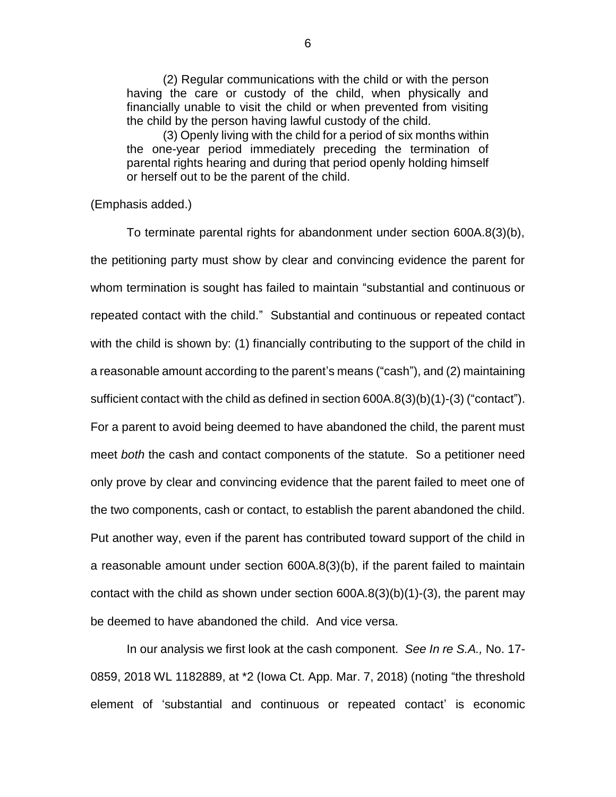(2) Regular communications with the child or with the person having the care or custody of the child, when physically and financially unable to visit the child or when prevented from visiting the child by the person having lawful custody of the child.

(3) Openly living with the child for a period of six months within the one-year period immediately preceding the termination of parental rights hearing and during that period openly holding himself or herself out to be the parent of the child.

(Emphasis added.)

To terminate parental rights for abandonment under section 600A.8(3)(b), the petitioning party must show by clear and convincing evidence the parent for whom termination is sought has failed to maintain "substantial and continuous or repeated contact with the child." Substantial and continuous or repeated contact with the child is shown by: (1) financially contributing to the support of the child in a reasonable amount according to the parent's means ("cash"), and (2) maintaining sufficient contact with the child as defined in section 600A.8(3)(b)(1)-(3) ("contact"). For a parent to avoid being deemed to have abandoned the child, the parent must meet *both* the cash and contact components of the statute. So a petitioner need only prove by clear and convincing evidence that the parent failed to meet one of the two components, cash or contact, to establish the parent abandoned the child. Put another way, even if the parent has contributed toward support of the child in a reasonable amount under section 600A.8(3)(b), if the parent failed to maintain contact with the child as shown under section 600A.8(3)(b)(1)-(3), the parent may be deemed to have abandoned the child. And vice versa.

In our analysis we first look at the cash component. *See In re S.A.,* No. 17- 0859, 2018 WL 1182889, at \*2 (Iowa Ct. App. Mar. 7, 2018) (noting "the threshold element of 'substantial and continuous or repeated contact' is economic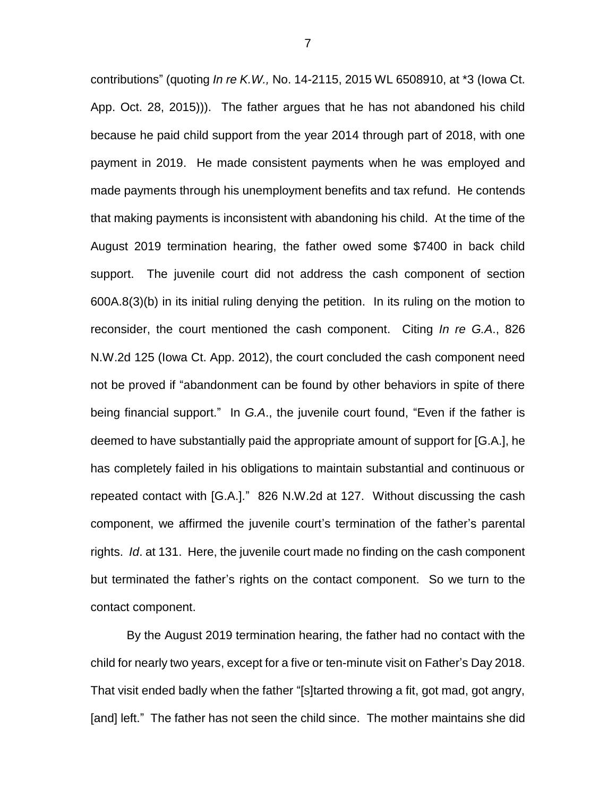contributions" (quoting *In re K.W.,* No. 14-2115, 2015 WL 6508910, at \*3 (Iowa Ct. App. Oct. 28, 2015))). The father argues that he has not abandoned his child because he paid child support from the year 2014 through part of 2018, with one payment in 2019. He made consistent payments when he was employed and made payments through his unemployment benefits and tax refund. He contends that making payments is inconsistent with abandoning his child. At the time of the August 2019 termination hearing, the father owed some \$7400 in back child support. The juvenile court did not address the cash component of section 600A.8(3)(b) in its initial ruling denying the petition. In its ruling on the motion to reconsider, the court mentioned the cash component. Citing *In re G.A*., 826 N.W.2d 125 (Iowa Ct. App. 2012), the court concluded the cash component need not be proved if "abandonment can be found by other behaviors in spite of there being financial support." In *G.A*., the juvenile court found, "Even if the father is deemed to have substantially paid the appropriate amount of support for [G.A.], he has completely failed in his obligations to maintain substantial and continuous or repeated contact with [G.A.]." 826 N.W.2d at 127. Without discussing the cash component, we affirmed the juvenile court's termination of the father's parental rights. *Id*. at 131. Here, the juvenile court made no finding on the cash component but terminated the father's rights on the contact component. So we turn to the contact component.

By the August 2019 termination hearing, the father had no contact with the child for nearly two years, except for a five or ten-minute visit on Father's Day 2018. That visit ended badly when the father "[s]tarted throwing a fit, got mad, got angry, [and] left." The father has not seen the child since. The mother maintains she did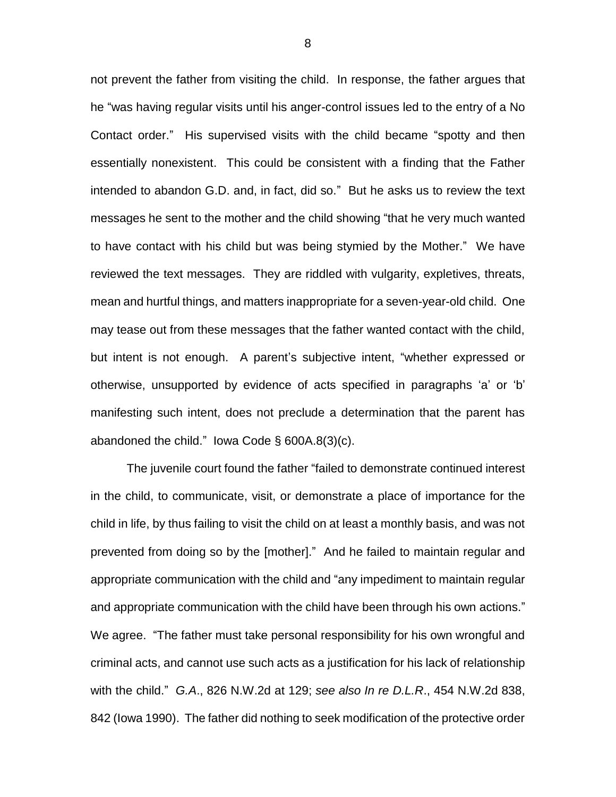not prevent the father from visiting the child. In response, the father argues that he "was having regular visits until his anger-control issues led to the entry of a No Contact order." His supervised visits with the child became "spotty and then essentially nonexistent. This could be consistent with a finding that the Father intended to abandon G.D. and, in fact, did so." But he asks us to review the text messages he sent to the mother and the child showing "that he very much wanted to have contact with his child but was being stymied by the Mother." We have reviewed the text messages. They are riddled with vulgarity, expletives, threats, mean and hurtful things, and matters inappropriate for a seven-year-old child. One may tease out from these messages that the father wanted contact with the child, but intent is not enough. A parent's subjective intent, "whether expressed or otherwise, unsupported by evidence of acts specified in paragraphs 'a' or 'b' manifesting such intent, does not preclude a determination that the parent has abandoned the child." Iowa Code  $\S$  600A.8(3)(c).

The juvenile court found the father "failed to demonstrate continued interest in the child, to communicate, visit, or demonstrate a place of importance for the child in life, by thus failing to visit the child on at least a monthly basis, and was not prevented from doing so by the [mother]." And he failed to maintain regular and appropriate communication with the child and "any impediment to maintain regular and appropriate communication with the child have been through his own actions." We agree. "The father must take personal responsibility for his own wrongful and criminal acts, and cannot use such acts as a justification for his lack of relationship with the child." *G.A*., 826 N.W.2d at 129; *see also In re D.L.R*., 454 N.W.2d 838, 842 (Iowa 1990). The father did nothing to seek modification of the protective order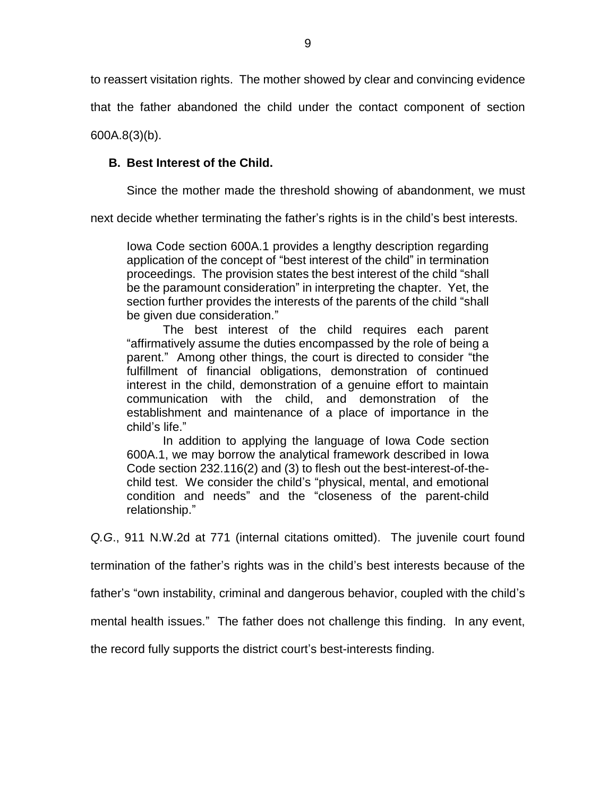to reassert visitation rights. The mother showed by clear and convincing evidence

that the father abandoned the child under the contact component of section

600A.8(3)(b).

# **B. Best Interest of the Child.**

Since the mother made the threshold showing of abandonment, we must

next decide whether terminating the father's rights is in the child's best interests.

Iowa Code section 600A.1 provides a lengthy description regarding application of the concept of "best interest of the child" in termination proceedings. The provision states the best interest of the child "shall be the paramount consideration" in interpreting the chapter. Yet, the section further provides the interests of the parents of the child "shall be given due consideration."

The best interest of the child requires each parent "affirmatively assume the duties encompassed by the role of being a parent." Among other things, the court is directed to consider "the fulfillment of financial obligations, demonstration of continued interest in the child, demonstration of a genuine effort to maintain communication with the child, and demonstration of the establishment and maintenance of a place of importance in the child's life."

In addition to applying the language of Iowa Code section 600A.1, we may borrow the analytical framework described in Iowa Code section 232.116(2) and (3) to flesh out the best-interest-of-thechild test. We consider the child's "physical, mental, and emotional condition and needs" and the "closeness of the parent-child relationship."

*Q.G*., 911 N.W.2d at 771 (internal citations omitted). The juvenile court found

termination of the father's rights was in the child's best interests because of the

father's "own instability, criminal and dangerous behavior, coupled with the child's

mental health issues." The father does not challenge this finding. In any event,

the record fully supports the district court's best-interests finding.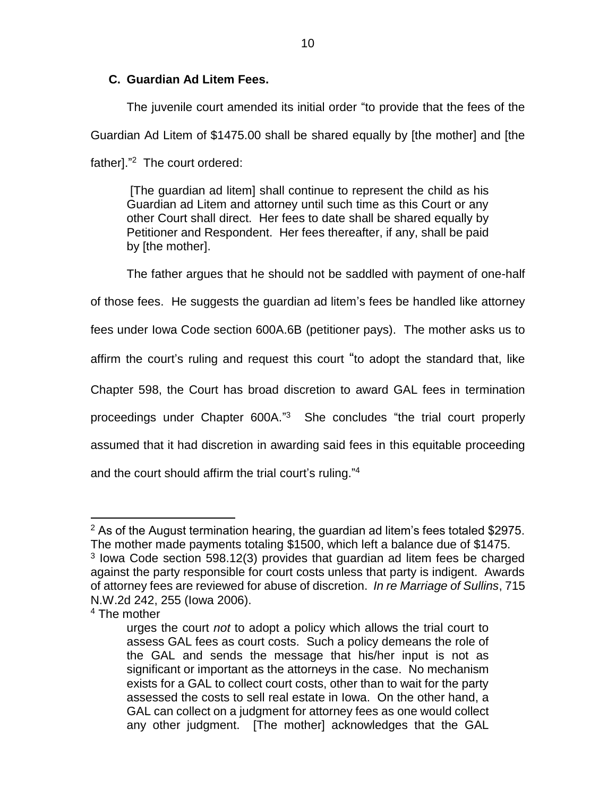# **C. Guardian Ad Litem Fees.**

The juvenile court amended its initial order "to provide that the fees of the Guardian Ad Litem of \$1475.00 shall be shared equally by [the mother] and [the father]."<sup>2</sup> The court ordered:

[The guardian ad litem] shall continue to represent the child as his Guardian ad Litem and attorney until such time as this Court or any other Court shall direct. Her fees to date shall be shared equally by Petitioner and Respondent. Her fees thereafter, if any, shall be paid by [the mother].

The father argues that he should not be saddled with payment of one-half of those fees. He suggests the guardian ad litem's fees be handled like attorney fees under Iowa Code section 600A.6B (petitioner pays). The mother asks us to affirm the court's ruling and request this court "to adopt the standard that, like Chapter 598, the Court has broad discretion to award GAL fees in termination proceedings under Chapter 600A."<sup>3</sup> She concludes "the trial court properly assumed that it had discretion in awarding said fees in this equitable proceeding and the court should affirm the trial court's ruling."<sup>4</sup>

 $\overline{a}$  $2$  As of the August termination hearing, the guardian ad litem's fees totaled \$2975. The mother made payments totaling \$1500, which left a balance due of \$1475.

<sup>&</sup>lt;sup>3</sup> lowa Code section 598.12(3) provides that guardian ad litem fees be charged against the party responsible for court costs unless that party is indigent. Awards of attorney fees are reviewed for abuse of discretion. *In re Marriage of Sullins*, 715 N.W.2d 242, 255 (Iowa 2006).

<sup>&</sup>lt;sup>4</sup> The mother

urges the court *not* to adopt a policy which allows the trial court to assess GAL fees as court costs. Such a policy demeans the role of the GAL and sends the message that his/her input is not as significant or important as the attorneys in the case. No mechanism exists for a GAL to collect court costs, other than to wait for the party assessed the costs to sell real estate in Iowa. On the other hand, a GAL can collect on a judgment for attorney fees as one would collect any other judgment. [The mother] acknowledges that the GAL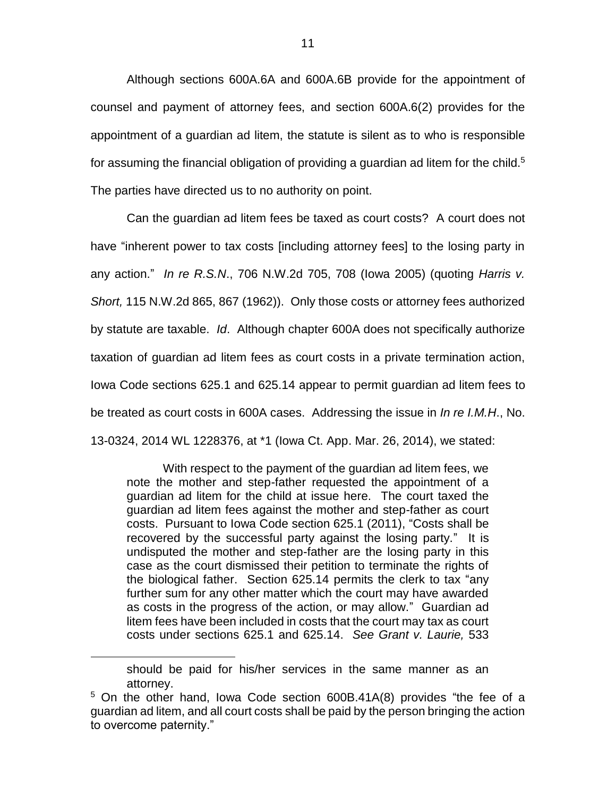Although sections 600A.6A and 600A.6B provide for the appointment of counsel and payment of attorney fees, and section 600A.6(2) provides for the appointment of a guardian ad litem, the statute is silent as to who is responsible for assuming the financial obligation of providing a guardian ad litem for the child.<sup>5</sup> The parties have directed us to no authority on point.

Can the guardian ad litem fees be taxed as court costs? A court does not have "inherent power to tax costs [including attorney fees] to the losing party in any action." *In re R.S.N*., 706 N.W.2d 705, 708 (Iowa 2005) (quoting *Harris v. Short,* 115 N.W.2d 865, 867 (1962)). Only those costs or attorney fees authorized by statute are taxable. *Id*. Although chapter 600A does not specifically authorize taxation of guardian ad litem fees as court costs in a private termination action, Iowa Code sections 625.1 and 625.14 appear to permit guardian ad litem fees to be treated as court costs in 600A cases. Addressing the issue in *In re I.M.H*., No. 13-0324, 2014 WL 1228376, at \*1 (Iowa Ct. App. Mar. 26, 2014), we stated:

With respect to the payment of the guardian ad litem fees, we note the mother and step-father requested the appointment of a guardian ad litem for the child at issue here. The court taxed the guardian ad litem fees against the mother and step-father as court costs. Pursuant to Iowa Code section 625.1 (2011), "Costs shall be recovered by the successful party against the losing party." It is undisputed the mother and step-father are the losing party in this case as the court dismissed their petition to terminate the rights of the biological father. Section 625.14 permits the clerk to tax "any further sum for any other matter which the court may have awarded as costs in the progress of the action, or may allow." Guardian ad litem fees have been included in costs that the court may tax as court costs under sections 625.1 and 625.14. *See Grant v. Laurie,* 533

 $\overline{a}$ 

should be paid for his/her services in the same manner as an attorney.

<sup>&</sup>lt;sup>5</sup> On the other hand, Iowa Code section 600B.41A(8) provides "the fee of a guardian ad litem, and all court costs shall be paid by the person bringing the action to overcome paternity."